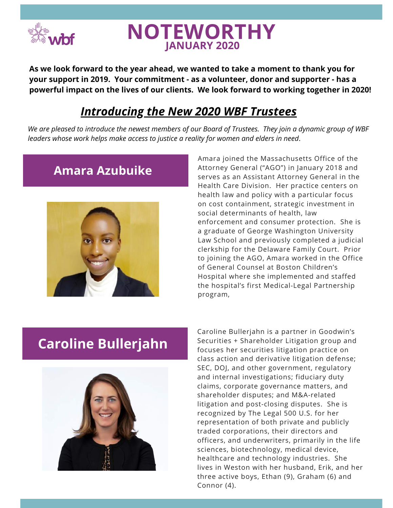

**As we look forward to the year ahead, we wanted to take a moment to thank you for your support in 2019. Your commitment - as a volunteer, donor and supporter - has a powerful impact on the lives of our clients. We look forward to working together in 2020!** 

### *Introducing the New 2020 WBF Trustees*

We are pleased to introduce the newest members of our Board of Trustees. They join a dynamic group of WBF *leaders whose work helps make access to justice a reality for women and elders in need*.

### **Amara Azubuike**



.<br>Attorney General ("AGO") in January 2018 and<br>serves as an Assistant Attorney General in the Amara joined the Massachusetts Office of the serves as an Assistant Attorney General in the Health Care Division. Her practice centers on health law and policy with a particular focus on cost containment, strategic investment in social determinants of health, law enforcement and consumer protection. She is a graduate of George Washington University Law School and previously completed a judicial clerkship for the Delaware Family Court. Prior to joining the AGO, Amara worked in the Office of General Counsel at Boston Children's Hospital where she implemented and staffed the hospital's first Medical-Legal Partnership program,

# **Caroline Bullerjahn**



resentation of both private and publicly<br>ded corporations, their directors and<br>icers. and underwriters. primarily in the Caroline Bullerjahn is a partner in Goodwin's Securities + Shareholder Litigation group and focuses her securities litigation practice on class action and derivative litigation defense; SEC, DOJ, and other government, regulatory and internal investigations; fiduciary duty claims, corporate governance matters, and shareholder disputes; and M&A-related litigation and post-closing disputes. She is recognized by The Legal 500 U.S. for her representation of both private and publicly traded corporations, their directors and officers, and underwriters, primarily in the life sciences, biotechnology, medical device, healthcare and technology industries. She lives in Weston with her husband, Erik, and her three active boys, Ethan (9), Graham (6) and Connor (4).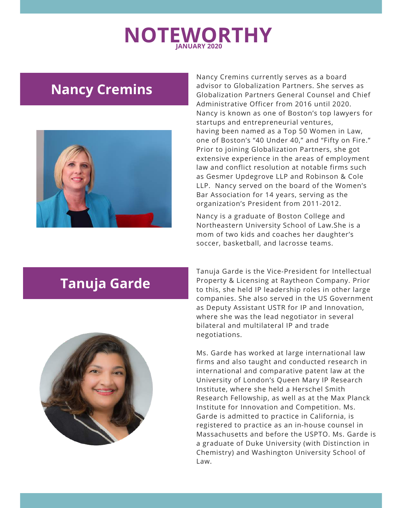## **Nancy Cremins**



law and conflict resolution at notable firms such<br>as Gesmer Updegrove LLP and Robinson & Cole Nancy Cremins currently serves as a board advisor to Globalization Partners. She serves as Globalization Partners General Counsel and Chief Administrative Officer from 2016 until 2020. Nancy is known as one of Boston's top lawyers for startups and entrepreneurial ventures, having been named as a Top 50 Women in Law, one of Boston's "40 Under 40," and "Fifty on Fire." Prior to joining Globalization Partners, she got extensive experience in the areas of employment law and conflict resolution at notable firms such LLP. Nancy served on the board of the Women's Bar Association for 14 years, serving as the organization's President from 2011-2012.

Nancy is a graduate of Boston College and Northeastern University School of Law.She is a mom of two kids and coaches her daughter's soccer, basketball, and lacrosse teams.

# **Tanuja Garde**



Tanuja Garde is the Vice-President for Intellectual Property & Licensing at Raytheon Company. Prior to this, she held IP leadership roles in other large companies. She also served in the US Government as Deputy Assistant USTR for IP and Innovation, where she was the lead negotiator in several bilateral and multilateral IP and trade negotiations.

registered to practice as an in-house counsel in<br>Massachusetts and before the USPTO. Ms. Garde is<br>a graduate of Duke University (with Distinction in Ms. Garde has worked at large international law firms and also taught and conducted research in international and comparative patent law at the University of London's Queen Mary IP Research Institute, where she held a Herschel Smith Research Fellowship, as well as at the Max Planck Institute for Innovation and Competition. Ms. Garde is admitted to practice in California, is registered to practice as an in-house counsel in a graduate of Duke University (with Distinction in Chemistry) and Washington University School of Law.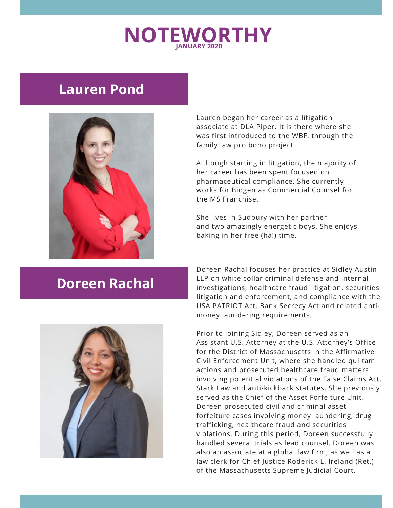### **Lauren Pond**



Lauren began her career as a litigation associate at DLA Piper. It is there where she was first introduced to the WBF, through the family law pro bono project.

Although starting in litigation, the maj<br>her career has been spent focused on<br>nharmasoutical compliance. She curre Although starting in litigation, the majority of pharmaceutical compliance. She currently works for Biogen as Commercial Counsel for the MS Franchise.

She lives in Sudbury with her partner and two amazingly energetic boys. She enjoys baking in her free (ha!) time.

### **Doreen Rachal**

Doreen Rachal focuses her practice at Sidley Austin LLP on white collar criminal defense and internal investigations, healthcare fraud litigation, securities litigation and enforcement, and compliance with the USA PATRIOT Act, Bank Secrecy Act and related antimoney laundering requirements.



trafficking, healthcare fraud and securities<br>violations. During this period, Doreen successfully<br>bandled several trials as lead seuncel. Dereen was Prior to joining Sidley, Doreen served as an Assistant U.S. Attorney at the U.S. Attorney's Office for the District of Massachusetts in the Affirmative Civil Enforcement Unit, where she handled qui tam actions and prosecuted healthcare fraud matters involving potential violations of the False Claims Act, Stark Law and anti-kickback statutes. She previously served as the Chief of the Asset Forfeiture Unit. Doreen prosecuted civil and criminal asset forfeiture cases involving money laundering, drug trafficking, healthcare fraud and securities handled several trials as lead counsel. Doreen was also an associate at a global law firm, as well as a law clerk for Chief Justice Roderick L. Ireland (Ret.) of the Massachusetts Supreme Judicial Court.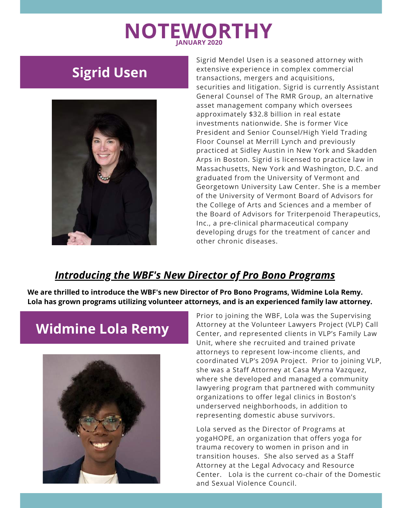# **Sigrid Usen**



In pear 2006. In Signal is necribed to precise for the<br>Massachusetts, New York and Washington, D.C. and<br>graduated from the University of Vermont and Sigrid Mendel Usen is a seasoned attorney with extensive experience in complex commercial transactions, mergers and acquisitions, securities and litigation. Sigrid is currently Assistant General Counsel of The RMR Group, an alternative asset management company which oversees approximately \$32.8 billion in real estate investments nationwide. She is former Vice President and Senior Counsel/High Yield Trading Floor Counsel at Merrill Lynch and previously practiced at Sidley Austin in New York and Skadden Arps in Boston. Sigrid is licensed to practice law in graduated from the University of Vermont and Georgetown University Law Center. She is a member of the University of Vermont Board of Advisors for the College of Arts and Sciences and a member of the Board of Advisors for Triterpenoid Therapeutics, Inc., a pre-clinical pharmaceutical company developing drugs for the treatment of cancer and other chronic diseases.

#### *Introducing the WBF's New Director of Pro Bono Programs*

**We are thrilled to introduce the WBF's new Director of Pro Bono Programs, Widmine Lola Remy. Lola has grown programs utilizing volunteer attorneys, and is an experienced family law attorney.**

# **Widmine Lola Remy**



Prior to joining the WBF, Lola was the Supervising Attorney at the Volunteer Lawyers Project (VLP) Call Center, and represented clients in VLP's Family Law Unit, where she recruited and trained private attorneys to represent low-income clients, and coordinated VLP's 209A Project. Prior to joining VLP, she was a Staff Attorney at Casa Myrna Vazquez, where she developed and managed a community lawyering program that partnered with community organizations to offer legal clinics in Boston's underserved neighborhoods, in addition to representing domestic abuse survivors.

Lola served as the Director of Programs at<br>yogaHOPE, an organization that offers yoga yogaHOPE, an organization that offers yoga for trauma recovery to women in prison and in transition houses. She also served as a Staff Attorney at the Legal Advocacy and Resource Center. Lola is the current co-chair of the Domestic and Sexual Violence Council.